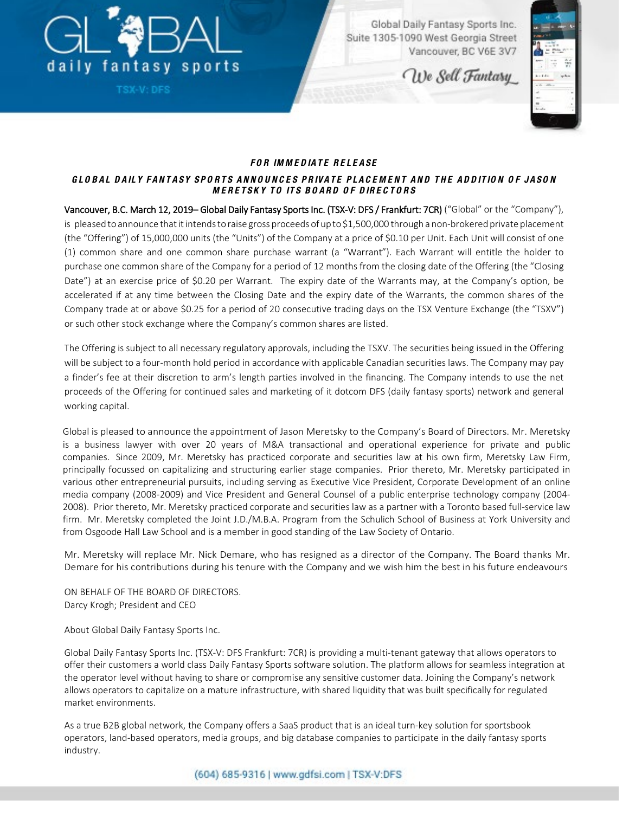

TSX-V: DFS

Global Daily Fantasy Sports Inc. Suite 1305-1090 West Georgia Street Vancouver, BC V6E 3V7

We Sell Fantasy



## *FO R IM M E D IATE RE LE ASE*

## *G LO BAL D AILY FANTASY SPO RTS AN N O U N C E S P R IVAT E P LAC E M E N T AN D T H E AD D IT IO N OF JASON MERETSKY TO ITS BO ARD O F D IRE C TO RS*

Vancouver, B.C. March 12, 2019– Global Daily Fantasy Sports Inc. (TSX-V: DFS / Frankfurt: 7CR) ("Global" or the "Company"), is pleased to announce that it intends to raise gross proceeds of up to \$1,500,000 through a non-brokered private placement (the "Offering") of 15,000,000 units (the "Units") of the Company at a price of \$0.10 per Unit. Each Unit will consist of one (1) common share and one common share purchase warrant (a "Warrant"). Each Warrant will entitle the holder to purchase one common share of the Company for a period of 12 months from the closing date of the Offering (the "Closing Date") at an exercise price of \$0.20 per Warrant. The expiry date of the Warrants may, at the Company's option, be accelerated if at any time between the Closing Date and the expiry date of the Warrants, the common shares of the Company trade at or above \$0.25 for a period of 20 consecutive trading days on the TSX Venture Exchange (the "TSXV") or such other stock exchange where the Company's common shares are listed.

The Offering is subject to all necessary regulatory approvals, including the TSXV. The securities being issued in the Offering will be subject to a four-month hold period in accordance with applicable Canadian securities laws. The Company may pay a finder's fee at their discretion to arm's length parties involved in the financing. The Company intends to use the net proceeds of the Offering for continued sales and marketing of it dotcom DFS (daily fantasy sports) network and general working capital.

Global is pleased to announce the appointment of Jason Meretsky to the Company's Board of Directors. Mr. Meretsky is a business lawyer with over 20 years of M&A transactional and operational experience for private and public companies. Since 2009, Mr. Meretsky has practiced corporate and securities law at his own firm, Meretsky Law Firm, principally focussed on capitalizing and structuring earlier stage companies. Prior thereto, Mr. Meretsky participated in various other entrepreneurial pursuits, including serving as Executive Vice President, Corporate Development of an online media company (2008-2009) and Vice President and General Counsel of a public enterprise technology company (2004- 2008). Prior thereto, Mr. Meretsky practiced corporate and securities law as a partner with a Toronto based full-service law firm. Mr. Meretsky completed the Joint J.D./M.B.A. Program from the Schulich School of Business at York University and from Osgoode Hall Law School and is a member in good standing of the Law Society of Ontario.

Mr. Meretsky will replace Mr. Nick Demare, who has resigned as a director of the Company. The Board thanks Mr. Demare for his contributions during his tenure with the Company and we wish him the best in his future endeavours

ON BEHALF OF THE BOARD OF DIRECTORS. Darcy Krogh; President and CEO

About Global Daily Fantasy Sports Inc.

Global Daily Fantasy Sports Inc. (TSX-V: DFS Frankfurt: 7CR) is providing a multi-tenant gateway that allows operators to offer their customers a world class Daily Fantasy Sports software solution. The platform allows for seamless integration at the operator level without having to share or compromise any sensitive customer data. Joining the Company's network allows operators to capitalize on a mature infrastructure, with shared liquidity that was built specifically for regulated market environments.

As a true B2B global network, the Company offers a SaaS product that is an ideal turn-key solution for sportsbook operators, land-based operators, media groups, and big database companies to participate in the daily fantasy sports industry.

(604) 685-9316 | www.gdfsi.com | TSX-V:DFS